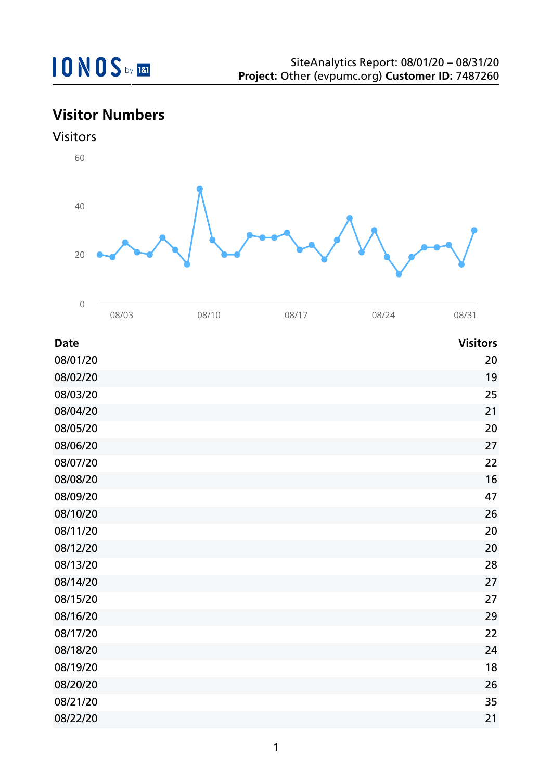## **Visitor Numbers**

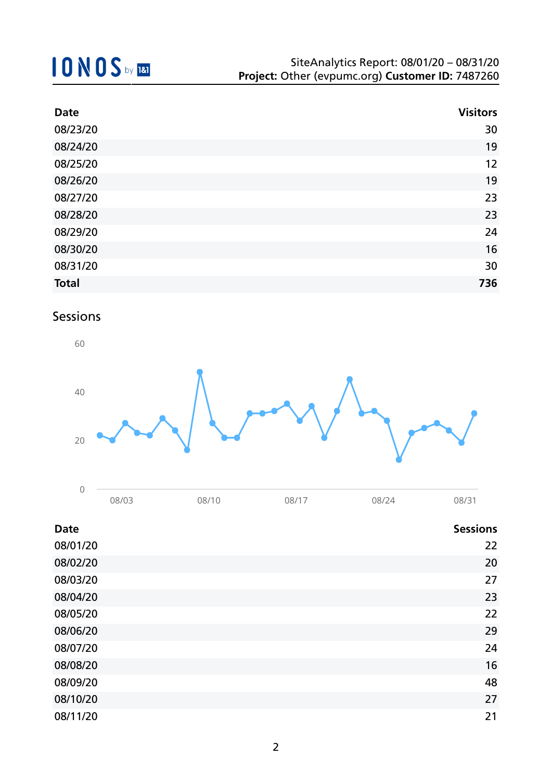| <b>Date</b>  | <b>Visitors</b> |
|--------------|-----------------|
| 08/23/20     | 30              |
| 08/24/20     | 19              |
| 08/25/20     | 12              |
| 08/26/20     | 19              |
| 08/27/20     | 23              |
| 08/28/20     | 23              |
| 08/29/20     | 24              |
| 08/30/20     | 16              |
| 08/31/20     | 30              |
| <b>Total</b> | 736             |

## Sessions



| -<br>∼ |       |              |                     |      |      |
|--------|-------|--------------|---------------------|------|------|
|        | 08/03 | J8/1<br>نا ' | $08/1$ <sup>-</sup> | 787. | 08/3 |

| <b>Date</b> | <b>Sessions</b> |
|-------------|-----------------|
| 08/01/20    | 22              |
| 08/02/20    | 20              |
| 08/03/20    | 27              |
| 08/04/20    | 23              |
| 08/05/20    | 22              |
| 08/06/20    | 29              |
| 08/07/20    | 24              |
| 08/08/20    | 16              |
| 08/09/20    | 48              |
| 08/10/20    | 27              |
| 08/11/20    | 21              |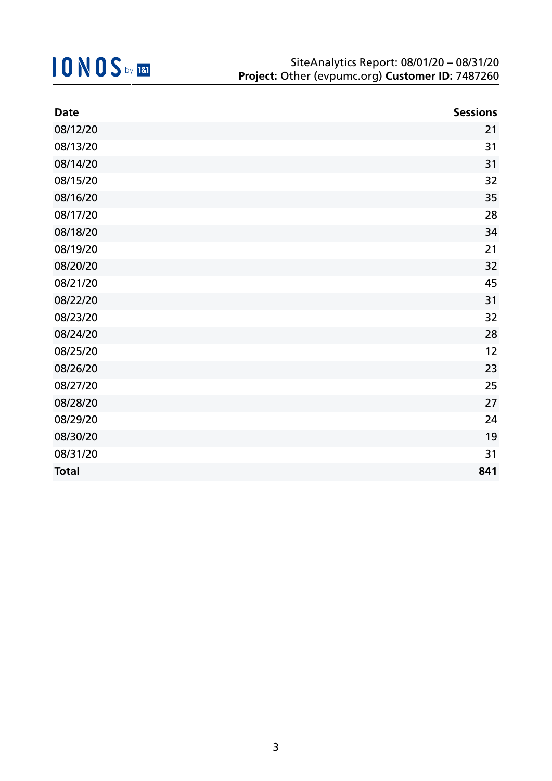| <b>Date</b>  | <b>Sessions</b> |
|--------------|-----------------|
| 08/12/20     | 21              |
| 08/13/20     | 31              |
| 08/14/20     | 31              |
| 08/15/20     | 32              |
| 08/16/20     | 35              |
| 08/17/20     | 28              |
| 08/18/20     | 34              |
| 08/19/20     | 21              |
| 08/20/20     | 32              |
| 08/21/20     | 45              |
| 08/22/20     | 31              |
| 08/23/20     | 32              |
| 08/24/20     | 28              |
| 08/25/20     | 12              |
| 08/26/20     | 23              |
| 08/27/20     | 25              |
| 08/28/20     | 27              |
| 08/29/20     | 24              |
| 08/30/20     | 19              |
| 08/31/20     | 31              |
| <b>Total</b> | 841             |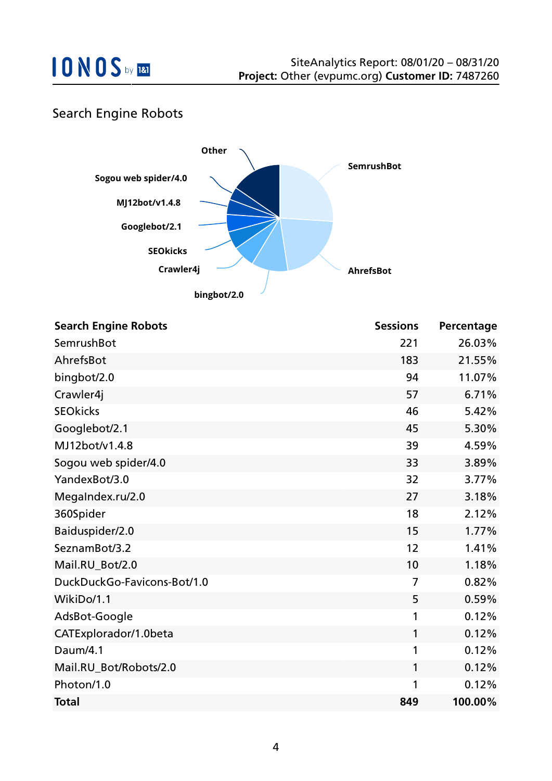### Search Engine Robots



| <b>Search Engine Robots</b> | <b>Sessions</b> | Percentage |
|-----------------------------|-----------------|------------|
| SemrushBot                  | 221             | 26.03%     |
| AhrefsBot                   | 183             | 21.55%     |
| bingbot/2.0                 | 94              | 11.07%     |
| Crawler4j                   | 57              | 6.71%      |
| <b>SEOkicks</b>             | 46              | 5.42%      |
| Googlebot/2.1               | 45              | 5.30%      |
| MJ12bot/v1.4.8              | 39              | 4.59%      |
| Sogou web spider/4.0        | 33              | 3.89%      |
| YandexBot/3.0               | 32              | 3.77%      |
| MegaIndex.ru/2.0            | 27              | 3.18%      |
| 360Spider                   | 18              | 2.12%      |
| Baiduspider/2.0             | 15              | 1.77%      |
| SeznamBot/3.2               | 12              | 1.41%      |
| Mail.RU_Bot/2.0             | 10              | 1.18%      |
| DuckDuckGo-Favicons-Bot/1.0 | $\overline{7}$  | 0.82%      |
| WikiDo/1.1                  | 5               | 0.59%      |
| AdsBot-Google               | 1               | 0.12%      |
| CATExplorador/1.0beta       | 1               | 0.12%      |
| Daum/4.1                    | 1               | 0.12%      |
| Mail.RU_Bot/Robots/2.0      | 1               | 0.12%      |
| Photon/1.0                  | 1               | 0.12%      |
| <b>Total</b>                | 849             | 100.00%    |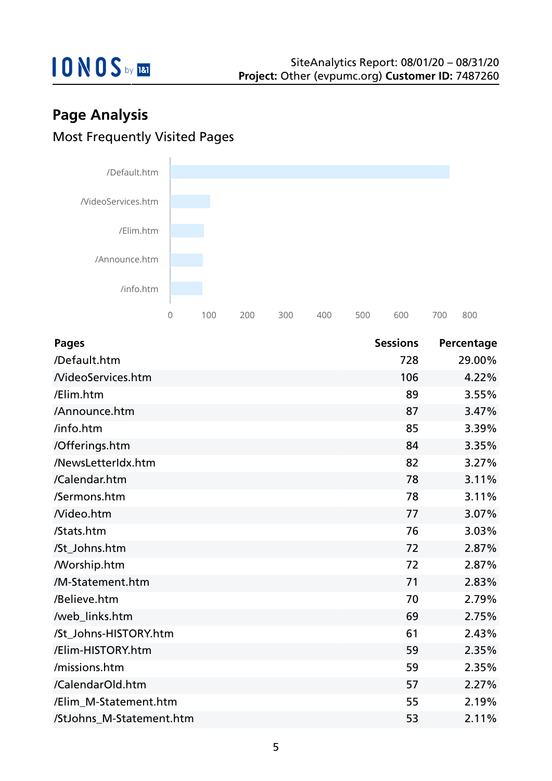

## **Page Analysis** Most Frequently Visited Pages



| <b>Pages</b>             | <b>Sessions</b> | Percentage |
|--------------------------|-----------------|------------|
| /Default.htm             | 728             | 29.00%     |
| <b>NideoServices.htm</b> | 106             | 4.22%      |
| /Elim.htm                | 89              | 3.55%      |
| /Announce.htm            | 87              | 3.47%      |
| /info.htm                | 85              | 3.39%      |
| /Offerings.htm           | 84              | 3.35%      |
| /NewsLetterIdx.htm       | 82              | 3.27%      |
| /Calendar.htm            | 78              | 3.11%      |
| /Sermons.htm             | 78              | 3.11%      |
| Nideo.htm                | 77              | 3.07%      |
| /Stats.htm               | 76              | 3.03%      |
| /St_Johns.htm            | 72              | 2.87%      |
| <b>Morship.htm</b>       | 72              | 2.87%      |
| /M-Statement.htm         | 71              | 2.83%      |
| /Believe.htm             | 70              | 2.79%      |
| /web_links.htm           | 69              | 2.75%      |
| /St_Johns-HISTORY.htm    | 61              | 2.43%      |
| /Elim-HISTORY.htm        | 59              | 2.35%      |
| /missions.htm            | 59              | 2.35%      |
| /CalendarOld.htm         | 57              | 2.27%      |
| /Elim_M-Statement.htm    | 55              | 2.19%      |
| /StJohns_M-Statement.htm | 53              | 2.11%      |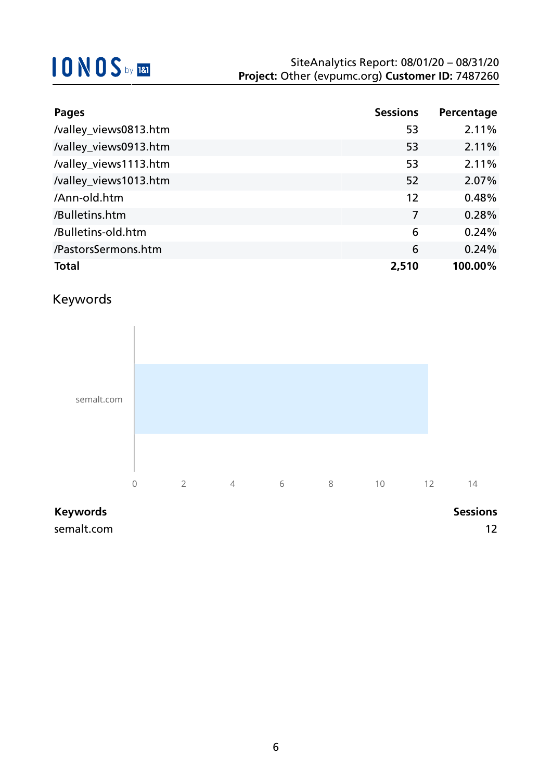| <b>Pages</b>          | <b>Sessions</b> | Percentage |
|-----------------------|-----------------|------------|
| /valley_views0813.htm | 53              | 2.11%      |
| /valley_views0913.htm | 53              | 2.11%      |
| /valley_views1113.htm | 53              | 2.11%      |
| /valley_views1013.htm | 52              | 2.07%      |
| /Ann-old.htm          | 12              | 0.48%      |
| /Bulletins.htm        | $\overline{7}$  | 0.28%      |
| /Bulletins-old.htm    | 6               | 0.24%      |
| /PastorsSermons.htm   | 6               | 0.24%      |
| <b>Total</b>          | 2,510           | 100.00%    |

## Keywords



### **Keywords Sessions**

semalt.com and the semaling of the semaling of the semaling of the semaling of the semaling of the semaling of the semaling of the semaling of the semaling of the semaling of the semaling of the semaling of the semaling of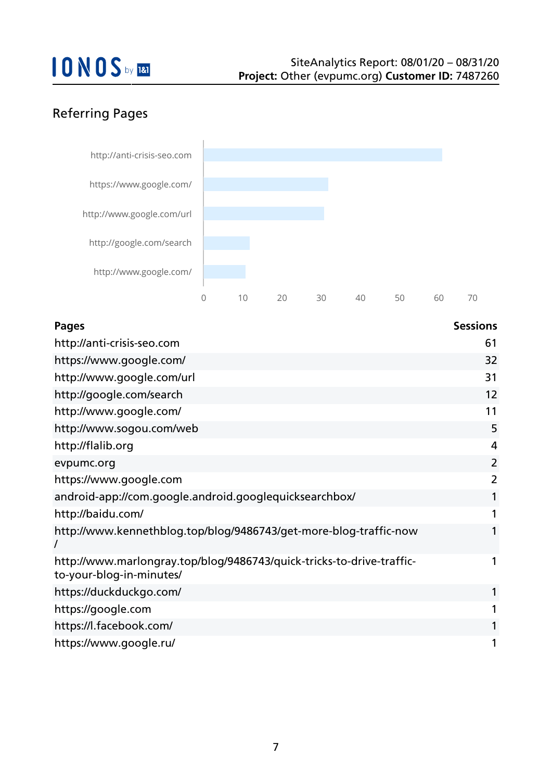## Referring Pages



| <b>Pages</b>                                                                                      | <b>Sessions</b> |
|---------------------------------------------------------------------------------------------------|-----------------|
| http://anti-crisis-seo.com                                                                        | 61              |
| https://www.google.com/                                                                           | 32              |
| http://www.google.com/url                                                                         | 31              |
| http://google.com/search                                                                          | 12              |
| http://www.google.com/                                                                            | 11              |
| http://www.sogou.com/web                                                                          | 5               |
| http://flalib.org                                                                                 | 4               |
| evpumc.org                                                                                        | $\overline{2}$  |
| https://www.google.com                                                                            | $\overline{2}$  |
| android-app://com.google.android.googlequicksearchbox/                                            | 1               |
| http://baidu.com/                                                                                 | 1               |
| http://www.kennethblog.top/blog/9486743/get-more-blog-traffic-now                                 | 1               |
| http://www.marlongray.top/blog/9486743/quick-tricks-to-drive-traffic-<br>to-your-blog-in-minutes/ | 1               |
| https://duckduckgo.com/                                                                           | 1               |
| https://google.com                                                                                | 1               |
| https://l.facebook.com/                                                                           | 1               |
| https://www.google.ru/                                                                            | 1               |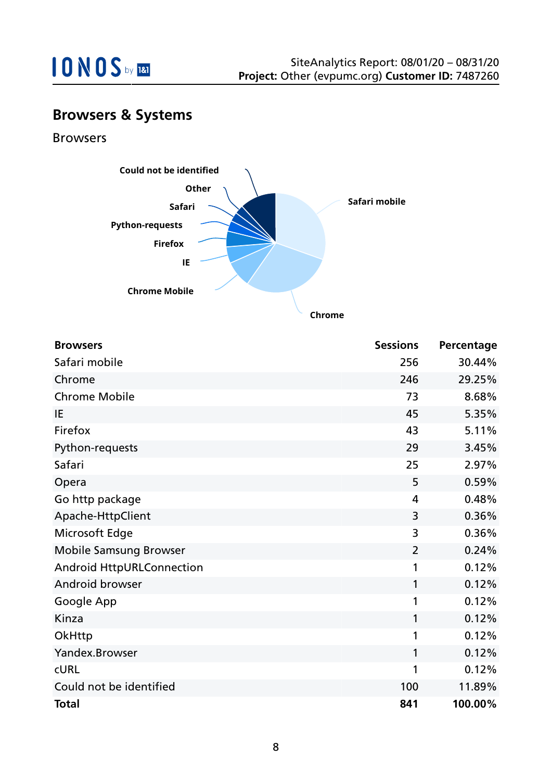

## **Browsers & Systems**

Browsers



| <b>Browsers</b>                  | <b>Sessions</b> | Percentage |
|----------------------------------|-----------------|------------|
| Safari mobile                    | 256             | 30.44%     |
| Chrome                           | 246             | 29.25%     |
| <b>Chrome Mobile</b>             | 73              | 8.68%      |
| IE                               | 45              | 5.35%      |
| Firefox                          | 43              | 5.11%      |
| Python-requests                  | 29              | 3.45%      |
| Safari                           | 25              | 2.97%      |
| Opera                            | 5               | 0.59%      |
| Go http package                  | 4               | 0.48%      |
| Apache-HttpClient                | 3               | 0.36%      |
| Microsoft Edge                   | 3               | 0.36%      |
| <b>Mobile Samsung Browser</b>    | $\overline{2}$  | 0.24%      |
| <b>Android HttpURLConnection</b> | 1               | 0.12%      |
| Android browser                  | 1               | 0.12%      |
| Google App                       | 1               | 0.12%      |
| Kinza                            | 1               | 0.12%      |
| OkHttp                           | 1               | 0.12%      |
| Yandex.Browser                   | 1               | 0.12%      |
| <b>CURL</b>                      | 1               | 0.12%      |
| Could not be identified          | 100             | 11.89%     |
| <b>Total</b>                     | 841             | 100.00%    |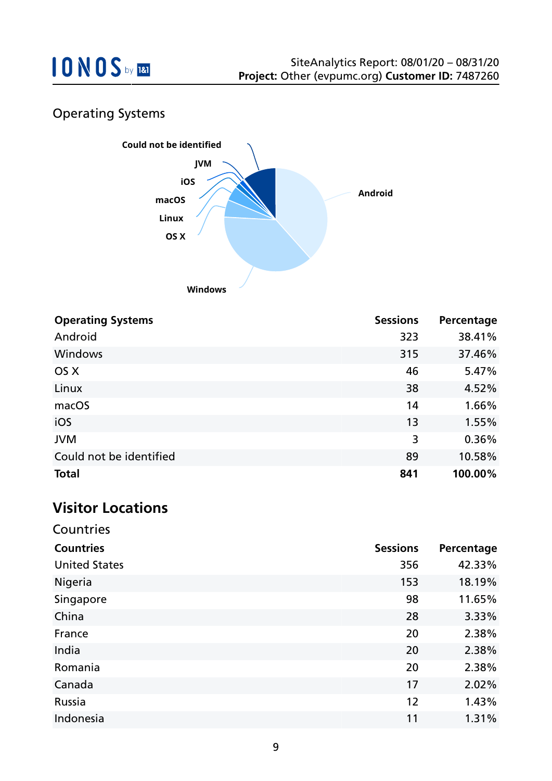

## Operating Systems



| <b>Operating Systems</b> | <b>Sessions</b> | Percentage |
|--------------------------|-----------------|------------|
| Android                  | 323             | 38.41%     |
| <b>Windows</b>           | 315             | 37.46%     |
| OS X                     | 46              | 5.47%      |
| Linux                    | 38              | 4.52%      |
| macOS                    | 14              | 1.66%      |
| iOS                      | 13              | 1.55%      |
| <b>JVM</b>               | 3               | 0.36%      |
| Could not be identified  | 89              | 10.58%     |
| <b>Total</b>             | 841             | 100.00%    |

## **Visitor Locations**

| Countries            |                 |            |
|----------------------|-----------------|------------|
| <b>Countries</b>     | <b>Sessions</b> | Percentage |
| <b>United States</b> | 356             | 42.33%     |
| Nigeria              | 153             | 18.19%     |
| Singapore            | 98              | 11.65%     |
| China                | 28              | 3.33%      |
| France               | 20              | 2.38%      |
| India                | 20              | 2.38%      |
| Romania              | 20              | 2.38%      |
| Canada               | 17              | 2.02%      |
| Russia               | 12              | 1.43%      |
| Indonesia            | 11              | 1.31%      |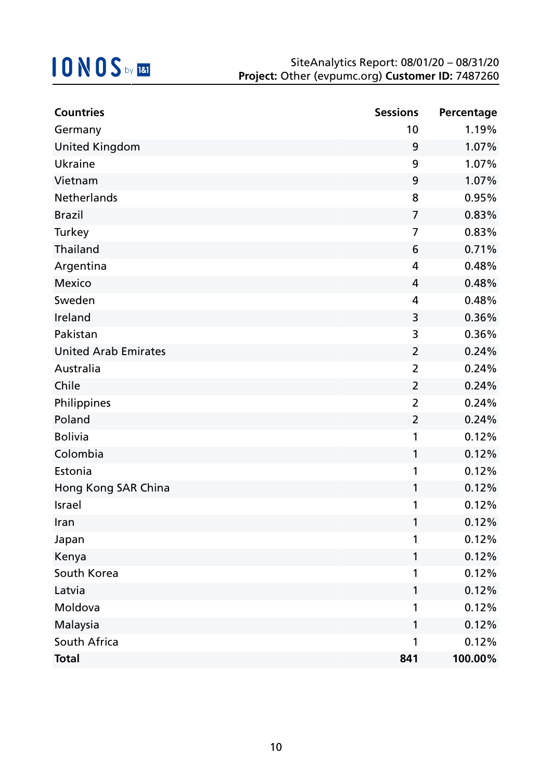| <b>Countries</b>            | <b>Sessions</b> | Percentage |
|-----------------------------|-----------------|------------|
| Germany                     | 10              | 1.19%      |
| <b>United Kingdom</b>       | 9               | 1.07%      |
| Ukraine                     | 9               | 1.07%      |
| Vietnam                     | 9               | 1.07%      |
| Netherlands                 | 8               | 0.95%      |
| <b>Brazil</b>               | $\overline{7}$  | 0.83%      |
| Turkey                      | 7               | 0.83%      |
| Thailand                    | 6               | 0.71%      |
| Argentina                   | 4               | 0.48%      |
| <b>Mexico</b>               | 4               | 0.48%      |
| Sweden                      | 4               | 0.48%      |
| Ireland                     | 3               | 0.36%      |
| Pakistan                    | 3               | 0.36%      |
| <b>United Arab Emirates</b> | $\overline{2}$  | 0.24%      |
| Australia                   | $\overline{2}$  | 0.24%      |
| Chile                       | $\overline{2}$  | 0.24%      |
| Philippines                 | $\overline{2}$  | 0.24%      |
| Poland                      | $\overline{2}$  | 0.24%      |
| <b>Bolivia</b>              | 1               | 0.12%      |
| Colombia                    | 1               | 0.12%      |
| Estonia                     | 1               | 0.12%      |
| Hong Kong SAR China         | 1               | 0.12%      |
| Israel                      | 1               | 0.12%      |
| Iran                        | 1               | 0.12%      |
| Japan                       | 1               | 0.12%      |
| Kenya                       | 1               | 0.12%      |
| South Korea                 | 1               | 0.12%      |
| Latvia                      | 1               | 0.12%      |
| Moldova                     | 1               | 0.12%      |
| Malaysia                    | 1               | 0.12%      |
| South Africa                | 1               | 0.12%      |
| <b>Total</b>                | 841             | 100.00%    |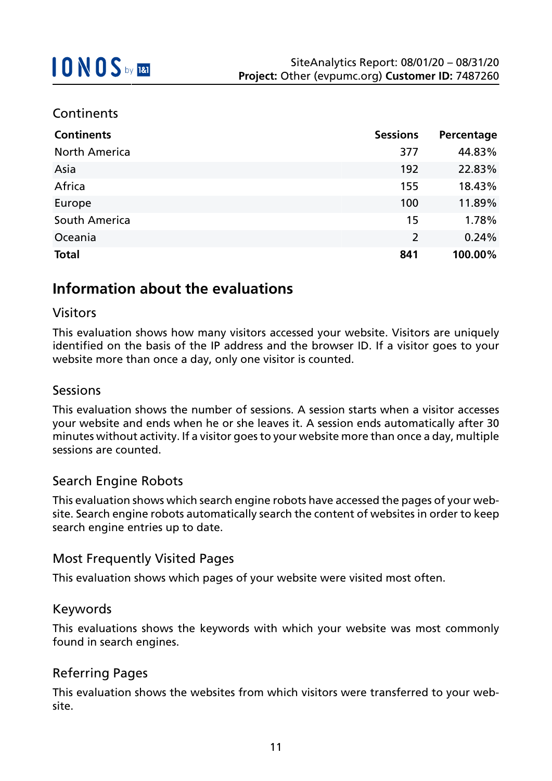### **Continents**

| <b>Continents</b>    | <b>Sessions</b> | Percentage |
|----------------------|-----------------|------------|
| <b>North America</b> | 377             | 44.83%     |
| Asia                 | 192             | 22.83%     |
| Africa               | 155             | 18.43%     |
| Europe               | 100             | 11.89%     |
| South America        | 15              | 1.78%      |
| Oceania              | $\overline{2}$  | 0.24%      |
| <b>Total</b>         | 841             | 100.00%    |

## **Information about the evaluations**

### Visitors

This evaluation shows how many visitors accessed your website. Visitors are uniquely identified on the basis of the IP address and the browser ID. If a visitor goes to your website more than once a day, only one visitor is counted.

### Sessions

This evaluation shows the number of sessions. A session starts when a visitor accesses your website and ends when he or she leaves it. A session ends automatically after 30 minutes without activity. If a visitor goes to your website more than once a day, multiple sessions are counted.

### Search Engine Robots

This evaluation shows which search engine robots have accessed the pages of your website. Search engine robots automatically search the content of websites in order to keep search engine entries up to date.

### Most Frequently Visited Pages

This evaluation shows which pages of your website were visited most often.

#### Keywords

This evaluations shows the keywords with which your website was most commonly found in search engines.

### Referring Pages

This evaluation shows the websites from which visitors were transferred to your website.